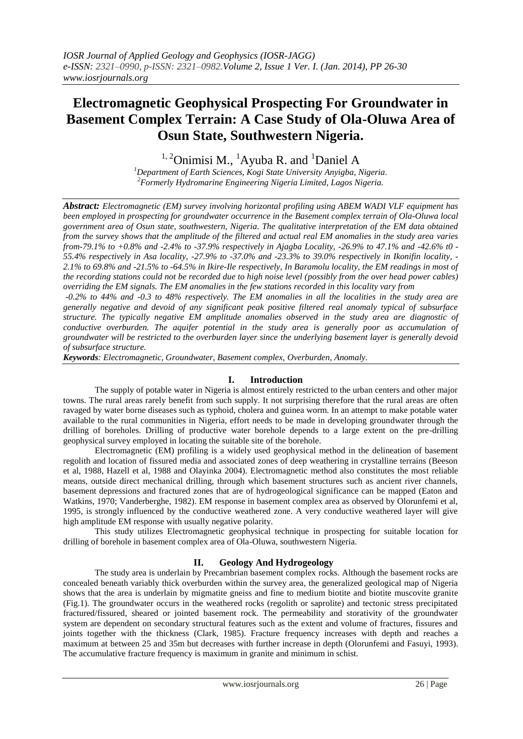# **Electromagnetic Geophysical Prospecting For Groundwater in Basement Complex Terrain: A Case Study of Ola-Oluwa Area of Osun State, Southwestern Nigeria.**

 $1, 2$ Onimisi M.,  $1$ Ayuba R. and  $1$ Daniel A

*<sup>1</sup>Department of Earth Sciences, Kogi State University Anyigba, Nigeria. <sup>2</sup>Formerly Hydromarine Engineering Nigeria Limited, Lagos Nigeria.*

*Abstract: Electromagnetic (EM) survey involving horizontal profiling using ABEM WADI VLF equipment has been employed in prospecting for groundwater occurrence in the Basement complex terrain of Ola-Oluwa local government area of Osun state, southwestern, Nigeria. The qualitative interpretation of the EM data obtained from the survey shows that the amplitude of the filtered and actual real EM anomalies in the study area varies from-79.1% to +0.8% and -2.4% to -37.9% respectively in Ajagba Locality, -26.9% to 47.1% and -42.6% t0 - 55.4% respectively in Asa locality, -27.9% to -37.0% and -23.3% to 39.0% respectively in Ikonifin locality, - 2.1% to 69.8% and -21.5% to -64.5% in Ikire-Ile respectively, In Baramolu locality, the EM readings in most of the recording stations could not be recorded due to high noise level (possibly from the over head power cables) overriding the EM signals. The EM anomalies in the few stations recorded in this locality vary from*

*-0.2% to 44% and -0.3 to 48% respectively. The EM anomalies in all the localities in the study area are generally negative and devoid of any significant peak positive filtered real anomaly typical of subsurface structure. The typically negative EM amplitude anomalies observed in the study area are diagnostic of conductive overburden. The aquifer potential in the study area is generally poor as accumulation of groundwater will be restricted to the overburden layer since the underlying basement layer is generally devoid of subsurface structure.*

*Keywords: Electromagnetic, Groundwater, Basement complex, Overburden, Anomaly.*

## **I. Introduction**

The supply of potable water in Nigeria is almost entirely restricted to the urban centers and other major towns. The rural areas rarely benefit from such supply. It not surprising therefore that the rural areas are often ravaged by water borne diseases such as typhoid, cholera and guinea worm. In an attempt to make potable water available to the rural communities in Nigeria, effort needs to be made in developing groundwater through the drilling of boreholes. Drilling of productive water borehole depends to a large extent on the pre-drilling geophysical survey employed in locating the suitable site of the borehole.

Electromagnetic (EM) profiling is a widely used geophysical method in the delineation of basement regolith and location of fissured media and associated zones of deep weathering in crystalline terrains (Beeson et al, 1988, Hazell et al, 1988 and Olayinka 2004). Electromagnetic method also constitutes the most reliable means, outside direct mechanical drilling, through which basement structures such as ancient river channels, basement depressions and fractured zones that are of hydrogeological significance can be mapped (Eaton and Watkins, 1970; Vanderberghe, 1982). EM response in basement complex area as observed by Olorunfemi et al, 1995, is strongly influenced by the conductive weathered zone. A very conductive weathered layer will give high amplitude EM response with usually negative polarity.

This study utilizes Electromagnetic geophysical technique in prospecting for suitable location for drilling of borehole in basement complex area of Ola-Oluwa, southwestern Nigeria.

## **II. Geology And Hydrogeology**

The study area is underlain by Precambrian basement complex rocks. Although the basement rocks are concealed beneath variably thick overburden within the survey area, the generalized geological map of Nigeria shows that the area is underlain by migmatite gneiss and fine to medium biotite and biotite muscovite granite (Fig.1). The groundwater occurs in the weathered rocks (regolith or saprolite) and tectonic stress precipitated fractured/fissured, sheared or jointed basement rock. The permeability and storativity of the groundwater system are dependent on secondary structural features such as the extent and volume of fractures, fissures and joints together with the thickness (Clark, 1985). Fracture frequency increases with depth and reaches a maximum at between 25 and 35m but decreases with further increase in depth (Olorunfemi and Fasuyi, 1993). The accumulative fracture frequency is maximum in granite and minimum in schist.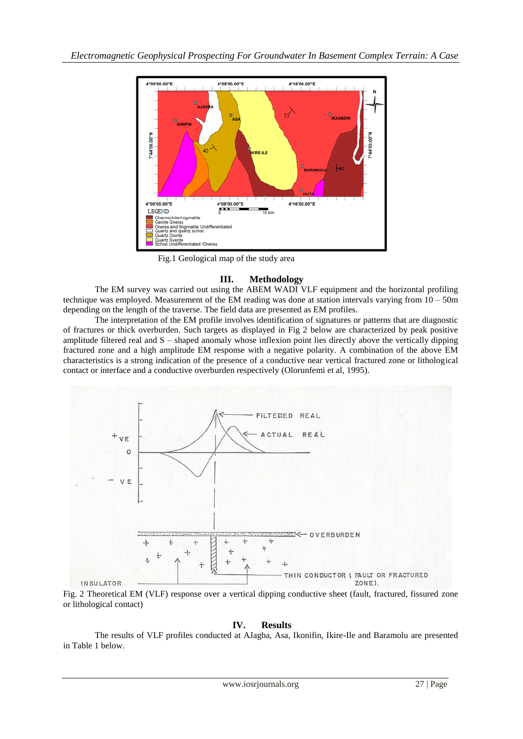

Fig.1 Geological map of the study area

## **III. Methodology**

The EM survey was carried out using the ABEM WADI VLF equipment and the horizontal profiling technique was employed. Measurement of the EM reading was done at station intervals varying from  $10 - 50m$ depending on the length of the traverse. The field data are presented as EM profiles.

The interpretation of the EM profile involves identification of signatures or patterns that are diagnostic of fractures or thick overburden. Such targets as displayed in Fig 2 below are characterized by peak positive amplitude filtered real and S – shaped anomaly whose inflexion point lies directly above the vertically dipping fractured zone and a high amplitude EM response with a negative polarity. A combination of the above EM characteristics is a strong indication of the presence of a conductive near vertical fractured zone or lithological contact or interface and a conductive overburden respectively (Olorunfemi et al, 1995).



Fig. 2 Theoretical EM (VLF) response over a vertical dipping conductive sheet (fault, fractured, fissured zone or lithological contact)

## **IV. Results**

The results of VLF profiles conducted at AJagba, Asa, Ikonifin, Ikire-Ile and Baramolu are presented in Table 1 below.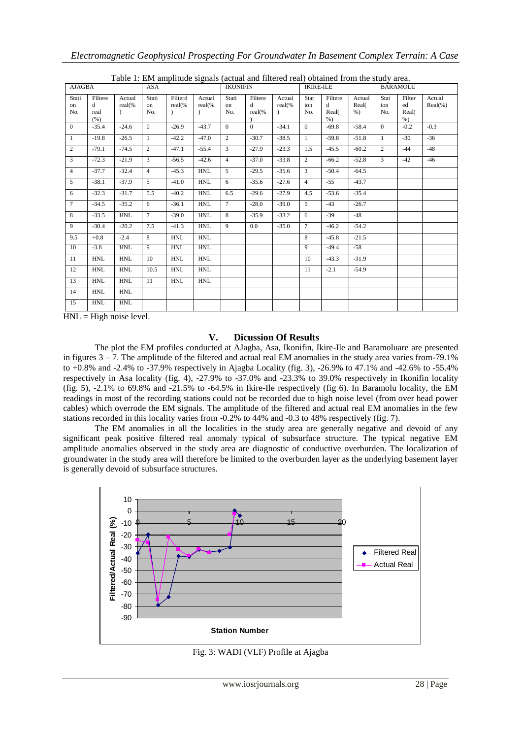| Table 1. E.M. amplitude signals (actual and intered real) obtained from the study area. |                              |                               |                    |                     |                  |                    |                        |                  |                    |                                |                          |                    |                                |                       |  |
|-----------------------------------------------------------------------------------------|------------------------------|-------------------------------|--------------------|---------------------|------------------|--------------------|------------------------|------------------|--------------------|--------------------------------|--------------------------|--------------------|--------------------------------|-----------------------|--|
| AJAGBA                                                                                  |                              |                               | <b>ASA</b>         |                     |                  | <b>IKONIFIN</b>    |                        |                  | <b>IKIRE-ILE</b>   |                                |                          | <b>BARAMOLU</b>    |                                |                       |  |
| Stati<br>on<br>No.                                                                      | Filtere<br>d<br>real<br>(% ) | Actual<br>real(%<br>$\lambda$ | Stati<br>on<br>No. | Filterd<br>$real\%$ | Actual<br>real(% | Stati<br>on<br>No. | Filtere<br>d<br>real(% | Actual<br>real(% | Stat<br>ion<br>No. | Filtere<br>d<br>Real(<br>$%$ ) | Actual<br>Real(<br>$%$ ) | Stat<br>ion<br>No. | Filter<br>ed<br>Real(<br>$%$ ) | Actual<br>$Real(\% )$ |  |
| $\Omega$                                                                                | $-35.4$                      | $-24.6$                       | $\theta$           | $-26.9$             | $-43.7$          | $\Omega$           | $\Omega$               | $-34.1$          | $\theta$           | $-69.8$                        | $-58.4$                  | $\theta$           | $-0.2$                         | $-0.3$                |  |
| 1                                                                                       | $-19.8$                      | $-26.5$                       | $\mathbf{1}$       | $-42.2$             | $-47.0$          | $\overline{2}$     | $-30.7$                | $-38.5$          | $\mathbf{1}$       | $-59.8$                        | $-51.8$                  | $\mathbf{1}$       | $-30$                          | $-36$                 |  |
| $\overline{2}$                                                                          | $-79.1$                      | $-74.5$                       | 2                  | $-47.1$             | $-55.4$          | 3                  | $-27.9$                | $-23.3$          | 1.5                | $-45.5$                        | $-60.2$                  | $\overline{2}$     | $-44$                          | $-48$                 |  |
| 3                                                                                       | $-72.3$                      | $-21.9$                       | $\overline{3}$     | $-56.5$             | $-42.6$          | $\overline{4}$     | $-37.0$                | $-33.8$          | $\overline{2}$     | $-66.2$                        | $-52.8$                  | 3                  | $-42$                          | $-46$                 |  |
| $\overline{4}$                                                                          | $-37.7$                      | $-32.4$                       | $\overline{4}$     | $-45.3$             | <b>HNL</b>       | $\overline{5}$     | $-29.5$                | $-35.6$          | $\overline{3}$     | $-50.4$                        | $-64.5$                  |                    |                                |                       |  |
| $\mathfrak{F}$                                                                          | $-38.1$                      | $-37.9$                       | $\mathcal{F}$      | $-41.0$             | <b>HNL</b>       | 6                  | $-35.6$                | $-27.6$          | $\overline{4}$     | $-55$                          | $-43.7$                  |                    |                                |                       |  |
| 6                                                                                       | $-32.3$                      | $-31.7$                       | 5.5                | $-40.2$             | <b>HNL</b>       | 6.5                | $-29.6$                | $-27.9$          | 4.5                | $-53.6$                        | $-35.4$                  |                    |                                |                       |  |
| $\tau$                                                                                  | $-34.5$                      | $-35.2$                       | 6                  | $-36.1$             | <b>HNL</b>       | $\overline{7}$     | $-28.0$                | $-39.0$          | $5^{\circ}$        | $-43$                          | $-26.7$                  |                    |                                |                       |  |
| 8                                                                                       | $-33.5$                      | <b>HNL</b>                    | $7\overline{ }$    | $-39.0$             | <b>HNL</b>       | 8                  | $-35.9$                | $-33.2$          | 6                  | $-39$                          | $-48$                    |                    |                                |                       |  |
| 9                                                                                       | $-30.4$                      | $-20.2$                       | 7.5                | $-41.3$             | <b>HNL</b>       | 9                  | 0.0 <sub>1</sub>       | $-35.0$          | $\tau$             | $-46.2$                        | $-54.2$                  |                    |                                |                       |  |
| 9.5                                                                                     | $+0.8$                       | $-2.4$                        | 8                  | <b>HNL</b>          | <b>HNL</b>       |                    |                        |                  | 8                  | $-45.8$                        | $-21.5$                  |                    |                                |                       |  |
| 10                                                                                      | $-3.8$                       | <b>HNL</b>                    | 9                  | <b>HNL</b>          | <b>HNL</b>       |                    |                        |                  | 9                  | $-49.4$                        | $-58$                    |                    |                                |                       |  |
| 11                                                                                      | <b>HNL</b>                   | HNL                           | 10                 | <b>HNL</b>          | <b>HNL</b>       |                    |                        |                  | 10                 | $-43.3$                        | $-31.9$                  |                    |                                |                       |  |
| 12                                                                                      | <b>HNL</b>                   | <b>HNL</b>                    | 10.5               | <b>HNL</b>          | <b>HNL</b>       |                    |                        |                  | 11                 | $-2.1$                         | $-54.9$                  |                    |                                |                       |  |
| 13                                                                                      | <b>HNL</b>                   | <b>HNL</b>                    | 11                 | <b>HNL</b>          | <b>HNL</b>       |                    |                        |                  |                    |                                |                          |                    |                                |                       |  |
| 14                                                                                      | HNL                          | <b>HNL</b>                    |                    |                     |                  |                    |                        |                  |                    |                                |                          |                    |                                |                       |  |
| 15                                                                                      | <b>HNL</b>                   | <b>HNL</b>                    |                    |                     |                  |                    |                        |                  |                    |                                |                          |                    |                                |                       |  |

Table 1: EM amplitude signals (actual and filtered real) obtained from the study area.

 $HNL = High noise level.$ 

## **V. Dicussion Of Results**

The plot the EM profiles conducted at AJagba, Asa, Ikonifin, Ikire-Ile and Baramoluare are presented in figures 3 – 7. The amplitude of the filtered and actual real EM anomalies in the study area varies from-79.1% to +0.8% and -2.4% to -37.9% respectively in Ajagba Locality (fig. 3), -26.9% to 47.1% and -42.6% to -55.4% respectively in Asa locality (fig. 4), -27.9% to -37.0% and -23.3% to 39.0% respectively in Ikonifin locality (fig. 5), -2.1% to 69.8% and -21.5% to -64.5% in Ikire-Ile respectively (fig 6). In Baramolu locality, the EM readings in most of the recording stations could not be recorded due to high noise level (from over head power cables) which overrode the EM signals. The amplitude of the filtered and actual real EM anomalies in the few stations recorded in this locality varies from -0.2% to 44% and -0.3 to 48% respectively (fig. 7).

The EM anomalies in all the localities in the study area are generally negative and devoid of any significant peak positive filtered real anomaly typical of subsurface structure. The typical negative EM amplitude anomalies observed in the study area are diagnostic of conductive overburden. The localization of groundwater in the study area will therefore be limited to the overburden layer as the underlying basement layer is generally devoid of subsurface structures.



Fig. 3: WADI (VLF) Profile at Ajagba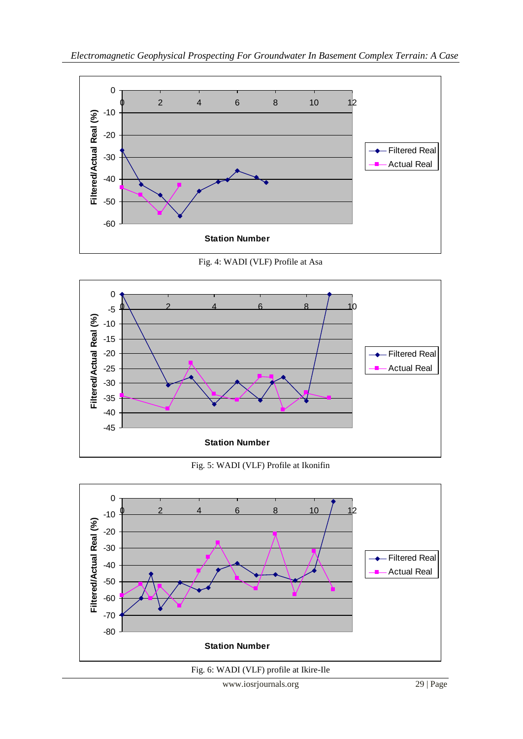

Fig. 4: WADI (VLF) Profile at Asa



Fig. 5: WADI (VLF) Profile at Ikonifin



Fig. 6: WADI (VLF) profile at Ikire-Ile